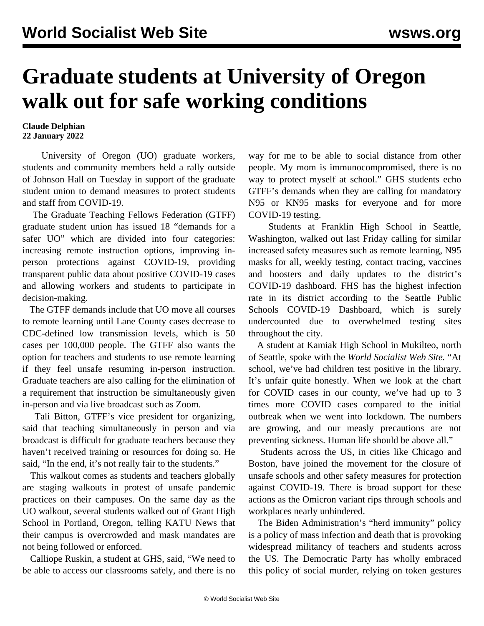## **Graduate students at University of Oregon walk out for safe working conditions**

## **Claude Delphian 22 January 2022**

 University of Oregon (UO) graduate workers, students and community members held a rally outside of Johnson Hall on Tuesday in support of the graduate student union to demand measures to protect students and staff from COVID-19.

 The Graduate Teaching Fellows Federation (GTFF) graduate student union has issued 18 ["demands for a](https://www.dailyemerald.com/news/gtff-holds-rally-to-leverage-covid-19-demands/article_0e996cae-78bd-11ec-9a4d-f706fa1275b4.html) [safer UO"](https://www.dailyemerald.com/news/gtff-holds-rally-to-leverage-covid-19-demands/article_0e996cae-78bd-11ec-9a4d-f706fa1275b4.html) which are divided into four categories: increasing remote instruction options, improving inperson protections against COVID-19, providing transparent public data about positive COVID-19 cases and allowing workers and students to participate in decision-making.

 The GTFF demands include that UO move all courses to remote learning until Lane County cases decrease to CDC-defined low transmission levels, which is 50 cases per 100,000 people. The GTFF also wants the option for teachers and students to use remote learning if they feel unsafe resuming in-person instruction. Graduate teachers are also calling for the elimination of a requirement that instruction be simultaneously given in-person and via live broadcast such as Zoom.

 Tali Bitton, GTFF's vice president for organizing, said that teaching simultaneously in person and via broadcast is difficult for graduate teachers because they haven't received training or resources for doing so. He said, "In the end, it's not really fair to the students."

 This walkout comes as students and teachers globally are staging walkouts in protest of unsafe pandemic practices on their campuses. On the same day as the UO walkout, several students walked out of Grant High School in Portland, Oregon, telling KATU News that their campus is overcrowded and mask mandates are not being followed or enforced.

 Calliope Ruskin, a student at GHS, said, "We need to be able to access our classrooms safely, and there is no way for me to be able to social distance from other people. My mom is immunocompromised, there is no way to protect myself at school." GHS students echo GTFF's demands when they are calling for mandatory N95 or KN95 masks for everyone and for more COVID-19 testing.

 Students at Franklin High School in Seattle, Washington, [walked out](/en/articles/2022/01/15/seat-j15.html) last Friday calling for similar increased safety measures such as remote learning, N95 masks for all, weekly testing, contact tracing, vaccines and boosters and daily updates to the district's COVID-19 dashboard. FHS has the highest infection rate in its district according to the Seattle Public Schools COVID-19 Dashboard, which is surely undercounted due to overwhelmed testing sites throughout the city.

 A student at Kamiak High School in Mukilteo, north of Seattle, spoke with the *World Socialist Web Site.* "At school, we've had children test positive in the library. It's unfair quite honestly. When we look at the chart for COVID cases in our county, we've had up to 3 times more COVID cases compared to the initial outbreak when we went into lockdown. The numbers are growing, and our measly precautions are not preventing sickness. Human life should be above all."

 Students across the US, in cities like Chicago and Boston, have joined the movement for the closure of unsafe schools and other safety measures for protection against COVID-19. There is broad support for these actions as the Omicron variant rips through schools and workplaces nearly unhindered.

 The Biden Administration's "herd immunity" policy is a policy of mass infection and death that is provoking widespread militancy of teachers and students across the US. The Democratic Party has wholly embraced this policy of social murder, relying on token gestures